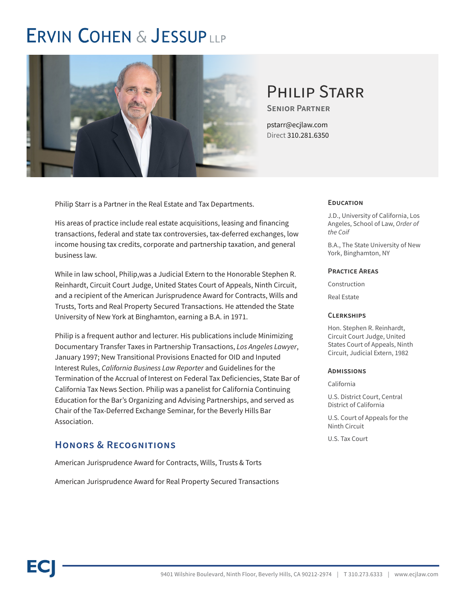## **ERVIN COHEN & JESSUPLLP**



## PHII IP STARR

**Senior Partner**

pstarr@ecjlaw.com Direct 310.281.6350

Philip Starr is a Partner in the Real Estate and Tax Departments.

His areas of practice include real estate acquisitions, leasing and financing transactions, federal and state tax controversies, tax-deferred exchanges, low income housing tax credits, corporate and partnership taxation, and general business law.

While in law school, Philip,was a Judicial Extern to the Honorable Stephen R. Reinhardt, Circuit Court Judge, United States Court of Appeals, Ninth Circuit, and a recipient of the American Jurisprudence Award for Contracts, Wills and Trusts, Torts and Real Property Secured Transactions. He attended the State University of New York at Binghamton, earning a B.A. in 1971.

Philip is a frequent author and lecturer. His publications include Minimizing Documentary Transfer Taxes in Partnership Transactions, *Los Angeles Lawyer*, January 1997; New Transitional Provisions Enacted for OID and Inputed Interest Rules, *California Business Law Reporter* and Guidelines for the Termination of the Accrual of Interest on Federal Tax Deficiencies, State Bar of California Tax News Section. Philip was a panelist for California Continuing Education for the Bar's Organizing and Advising Partnerships, and served as Chair of the Tax-Deferred Exchange Seminar, for the Beverly Hills Bar Association.

## **Honors & Recognitions**

American Jurisprudence Award for Contracts, Wills, Trusts & Torts

American Jurisprudence Award for Real Property Secured Transactions

#### **Education**

J.D., University of California, Los Angeles, School of Law, *Order of the Coif*

B.A., The State University of New York, Binghamton, NY

#### **Practice Areas**

Construction

Real Estate

#### **Clerkships**

Hon. Stephen R. Reinhardt, Circuit Court Judge, United States Court of Appeals, Ninth Circuit, Judicial Extern, 1982

#### **Admissions**

California

U.S. District Court, Central District of California

U.S. Court of Appeals for the Ninth Circuit

U.S. Tax Court